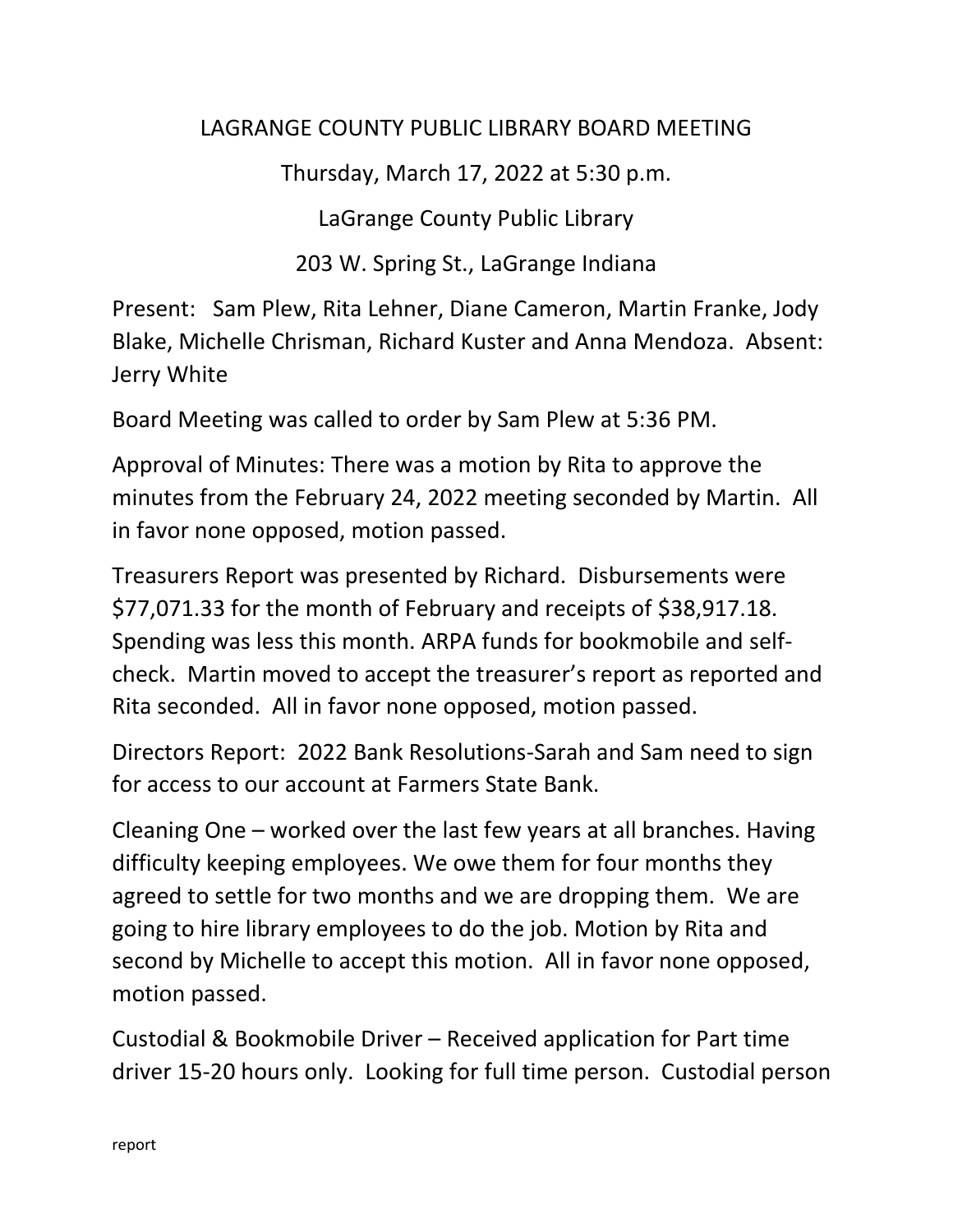## LAGRANGE COUNTY PUBLIC LIBRARY BOARD MEETING

Thursday, March 17, 2022 at 5:30 p.m.

LaGrange County Public Library

203 W. Spring St., LaGrange Indiana

Present: Sam Plew, Rita Lehner, Diane Cameron, Martin Franke, Jody Blake, Michelle Chrisman, Richard Kuster and Anna Mendoza. Absent: Jerry White

Board Meeting was called to order by Sam Plew at 5:36 PM.

Approval of Minutes: There was a motion by Rita to approve the minutes from the February 24, 2022 meeting seconded by Martin. All in favor none opposed, motion passed.

Treasurers Report was presented by Richard. Disbursements were \$77,071.33 for the month of February and receipts of \$38,917.18. Spending was less this month. ARPA funds for bookmobile and selfcheck. Martin moved to accept the treasurer's report as reported and Rita seconded. All in favor none opposed, motion passed.

Directors Report: 2022 Bank Resolutions-Sarah and Sam need to sign for access to our account at Farmers State Bank.

Cleaning One – worked over the last few years at all branches. Having difficulty keeping employees. We owe them for four months they agreed to settle for two months and we are dropping them. We are going to hire library employees to do the job. Motion by Rita and second by Michelle to accept this motion. All in favor none opposed, motion passed.

Custodial & Bookmobile Driver – Received application for Part time driver 15-20 hours only. Looking for full time person. Custodial person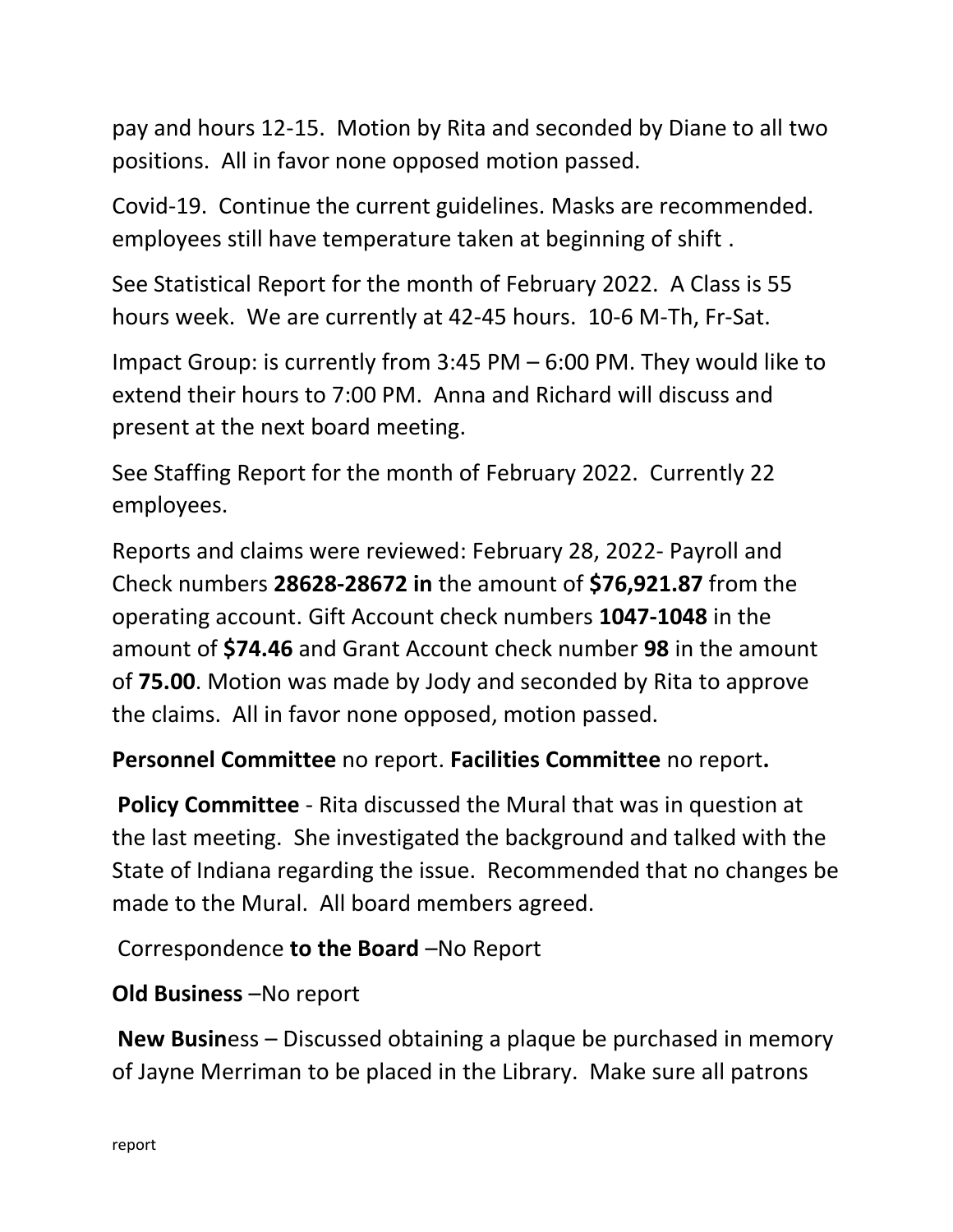pay and hours 12-15. Motion by Rita and seconded by Diane to all two positions. All in favor none opposed motion passed.

Covid-19. Continue the current guidelines. Masks are recommended. employees still have temperature taken at beginning of shift .

See Statistical Report for the month of February 2022. A Class is 55 hours week. We are currently at 42-45 hours. 10-6 M-Th, Fr-Sat.

Impact Group: is currently from 3:45 PM – 6:00 PM. They would like to extend their hours to 7:00 PM. Anna and Richard will discuss and present at the next board meeting.

See Staffing Report for the month of February 2022. Currently 22 employees.

Reports and claims were reviewed: February 28, 2022- Payroll and Check numbers **28628-28672 in** the amount of **\$76,921.87** from the operating account. Gift Account check numbers **1047-1048** in the amount of **\$74.46** and Grant Account check number **98** in the amount of **75.00**. Motion was made by Jody and seconded by Rita to approve the claims. All in favor none opposed, motion passed.

## **Personnel Committee** no report. **Facilities Committee** no report**.**

**Policy Committee** - Rita discussed the Mural that was in question at the last meeting. She investigated the background and talked with the State of Indiana regarding the issue. Recommended that no changes be made to the Mural. All board members agreed.

## Correspondence **to the Board** –No Report

## **Old Business** –No report

**New Busin**ess – Discussed obtaining a plaque be purchased in memory of Jayne Merriman to be placed in the Library. Make sure all patrons